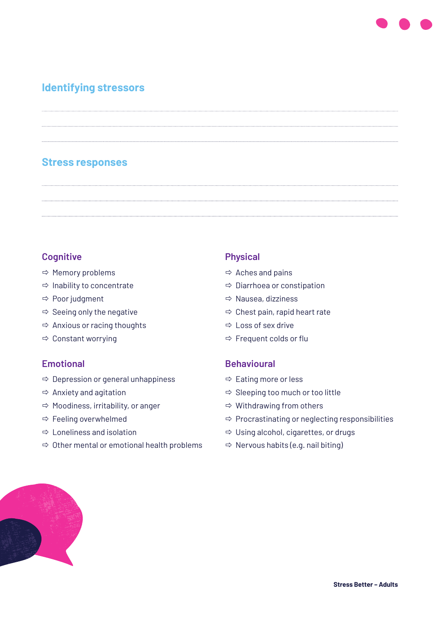# **Identifying stressors**

# **Stress responses**

#### **Cognitive**

- $\Rightarrow$  Memory problems
- $\Rightarrow$  Inability to concentrate
- $\Rightarrow$  Poor judgment
- $\Rightarrow$  Seeing only the negative
- $\Rightarrow$  Anxious or racing thoughts
- $\Rightarrow$  Constant worrying

#### **Emotional**

- $\Rightarrow$  Depression or general unhappiness
- $\Rightarrow$  Anxiety and agitation
- $\Rightarrow$  Moodiness, irritability, or anger
- $\Rightarrow$  Feeling overwhelmed
- $\Rightarrow$  Loneliness and isolation
- $\Rightarrow$  Other mental or emotional health problems

#### **Physical**

- $\Rightarrow$  Aches and pains
- $\Rightarrow$  Diarrhoea or constipation
- $\Rightarrow$  Nausea, dizziness
- $\Rightarrow$  Chest pain, rapid heart rate
- $\Rightarrow$  Loss of sex drive
- $\Rightarrow$  Frequent colds or flu

#### **Behavioural**

- $\Rightarrow$  Eating more or less
- $\Rightarrow$  Sleeping too much or too little
- $\Rightarrow$  Withdrawing from others
- $\Rightarrow$  Procrastinating or neglecting responsibilities
- $\Rightarrow$  Using alcohol, cigarettes, or drugs
- $\Rightarrow$  Nervous habits (e.g. nail biting)